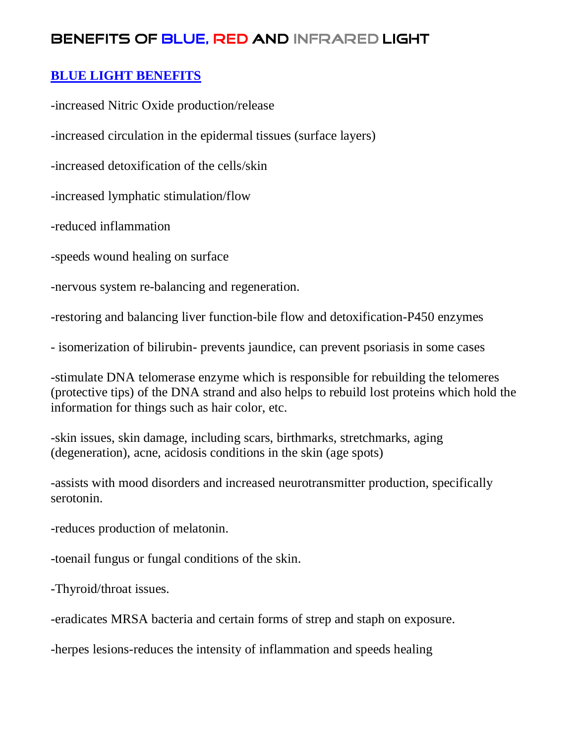### **BLUE LIGHT BENEFITS**

-increased Nitric Oxide production/release

-increased circulation in the epidermal tissues (surface layers)

-increased detoxification of the cells/skin

-increased lymphatic stimulation/flow

-reduced inflammation

-speeds wound healing on surface

-nervous system re-balancing and regeneration.

-restoring and balancing liver function-bile flow and detoxification-P450 enzymes

- isomerization of bilirubin- prevents jaundice, can prevent psoriasis in some cases

-stimulate DNA telomerase enzyme which is responsible for rebuilding the telomeres (protective tips) of the DNA strand and also helps to rebuild lost proteins which hold the information for things such as hair color, etc.

-skin issues, skin damage, including scars, birthmarks, stretchmarks, aging (degeneration), acne, acidosis conditions in the skin (age spots)

-assists with mood disorders and increased neurotransmitter production, specifically serotonin.

-reduces production of melatonin.

-toenail fungus or fungal conditions of the skin.

-Thyroid/throat issues.

-eradicates MRSA bacteria and certain forms of strep and staph on exposure.

-herpes lesions-reduces the intensity of inflammation and speeds healing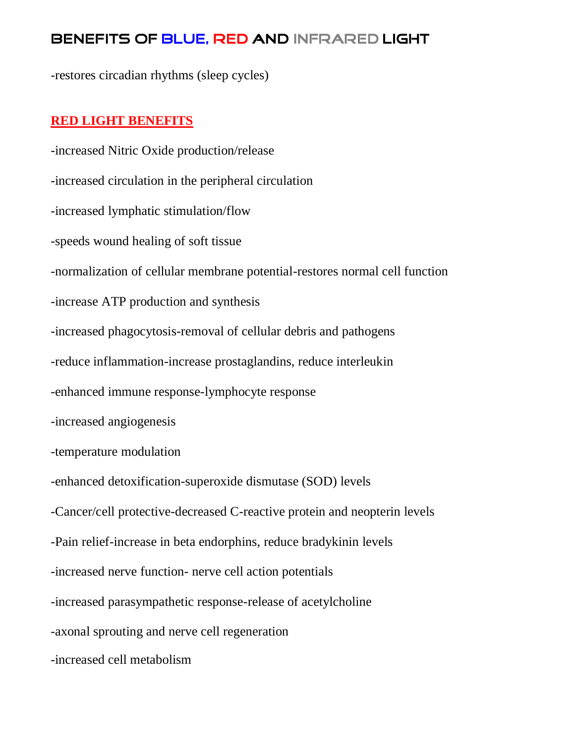-restores circadian rhythms (sleep cycles)

#### **RED LIGHT BENEFITS**

-increased Nitric Oxide production/release -increased circulation in the peripheral circulation -increased lymphatic stimulation/flow -speeds wound healing of soft tissue -normalization of cellular membrane potential-restores normal cell function -increase ATP production and synthesis -increased phagocytosis-removal of cellular debris and pathogens -reduce inflammation-increase prostaglandins, reduce interleukin -enhanced immune response-lymphocyte response -increased angiogenesis -temperature modulation -enhanced detoxification-superoxide dismutase (SOD) levels -Cancer/cell protective-decreased C-reactive protein and neopterin levels -Pain relief-increase in beta endorphins, reduce bradykinin levels -increased nerve function- nerve cell action potentials -increased parasympathetic response-release of acetylcholine -axonal sprouting and nerve cell regeneration -increased cell metabolism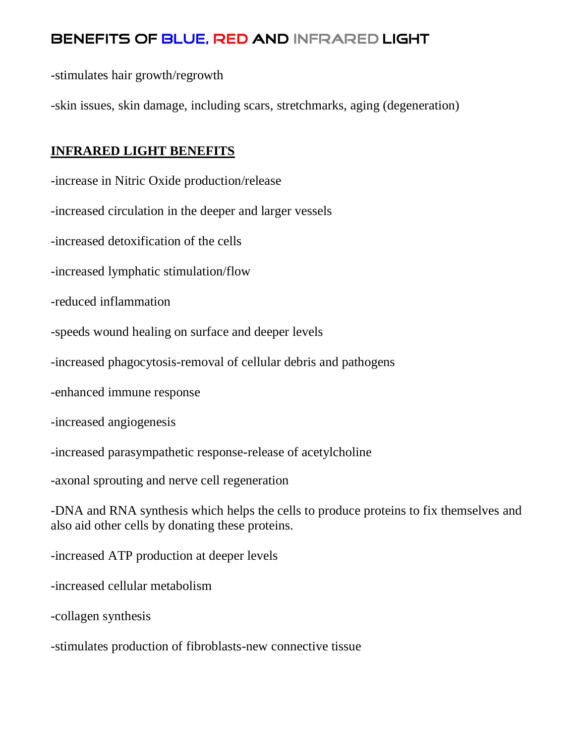-stimulates hair growth/regrowth

-skin issues, skin damage, including scars, stretchmarks, aging (degeneration)

### **INFRARED LIGHT BENEFITS**

-increase in Nitric Oxide production/release

-increased circulation in the deeper and larger vessels

-increased detoxification of the cells

-increased lymphatic stimulation/flow

-reduced inflammation

-speeds wound healing on surface and deeper levels

-increased phagocytosis-removal of cellular debris and pathogens

-enhanced immune response

-increased angiogenesis

-increased parasympathetic response-release of acetylcholine

-axonal sprouting and nerve cell regeneration

-DNA and RNA synthesis which helps the cells to produce proteins to fix themselves and also aid other cells by donating these proteins.

-increased ATP production at deeper levels

-increased cellular metabolism

-collagen synthesis

-stimulates production of fibroblasts-new connective tissue